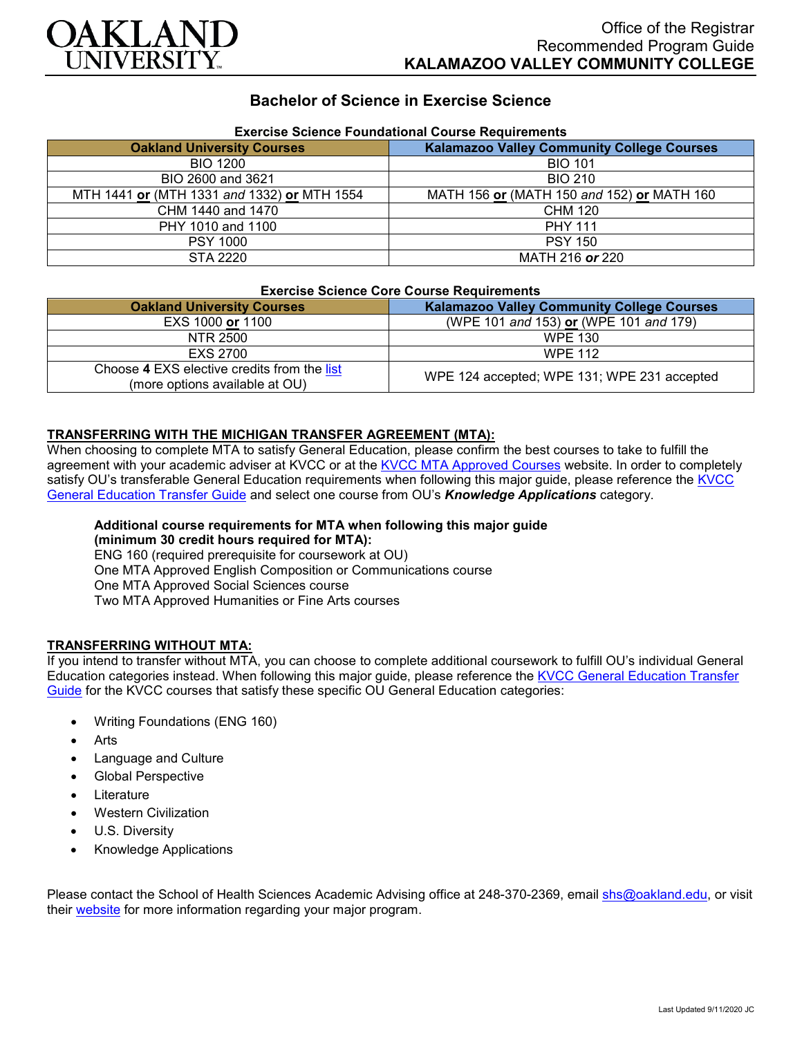

## **Bachelor of Science in Exercise Science**

| Exercise Science Foundational Course Requirements |                                                   |
|---------------------------------------------------|---------------------------------------------------|
| <b>Oakland University Courses</b>                 | <b>Kalamazoo Valley Community College Courses</b> |
| <b>BIO 1200</b>                                   | <b>BIO 101</b>                                    |
| BIO 2600 and 3621                                 | <b>BIO 210</b>                                    |
| MTH 1441 or (MTH 1331 and 1332) or MTH 1554       | MATH 156 or (MATH 150 and 152) or MATH 160        |
| CHM 1440 and 1470                                 | <b>CHM 120</b>                                    |
| PHY 1010 and 1100                                 | <b>PHY 111</b>                                    |
| <b>PSY 1000</b>                                   | <b>PSY 150</b>                                    |
| STA 2220                                          | MATH 216 or 220                                   |

## **Exercise Science Foundational Course Requirements**

#### **Exercise Science Core Course Requirements**

| <b>Oakland University Courses</b>                                             | <b>Kalamazoo Valley Community College Courses</b> |
|-------------------------------------------------------------------------------|---------------------------------------------------|
| EXS 1000 or 1100                                                              | (WPE 101 and 153) or (WPE 101 and 179)            |
| NTR 2500                                                                      | <b>WPE 130</b>                                    |
| EXS 2700                                                                      | <b>WPE 112</b>                                    |
| Choose 4 EXS elective credits from the list<br>(more options available at OU) | WPE 124 accepted; WPE 131; WPE 231 accepted       |

### **TRANSFERRING WITH THE MICHIGAN TRANSFER AGREEMENT (MTA):**

When choosing to complete MTA to satisfy General Education, please confirm the best courses to take to fulfill the agreement with your academic adviser at KVCC or at the [KVCC MTA Approved Courses](https://www.kvcc.edu/programs/mta.php) website. In order to completely satisfy OU's transferable General Education requirements when following this major guide, please reference the [KVCC](https://www.oakland.edu/Assets/Oakland/program-guides/kalamazoo-valley-community-college/university-general-education-requirements/Kalamazoo%20Valley%20Gen%20Ed.pdf)  [General Education Transfer Guide](https://www.oakland.edu/Assets/Oakland/program-guides/kalamazoo-valley-community-college/university-general-education-requirements/Kalamazoo%20Valley%20Gen%20Ed.pdf) and select one course from OU's *Knowledge Applications* category.

# **Additional course requirements for MTA when following this major guide**

**(minimum 30 credit hours required for MTA):** ENG 160 (required prerequisite for coursework at OU) One MTA Approved English Composition or Communications course One MTA Approved Social Sciences course

Two MTA Approved Humanities or Fine Arts courses

### **TRANSFERRING WITHOUT MTA:**

If you intend to transfer without MTA, you can choose to complete additional coursework to fulfill OU's individual General Education categories instead. When following this major guide, please reference the KVCC General Education Transfer [Guide](https://www.oakland.edu/Assets/Oakland/program-guides/kalamazoo-valley-community-college/university-general-education-requirements/Kalamazoo%20Valley%20Gen%20Ed.pdf) for the KVCC courses that satisfy these specific OU General Education categories:

- Writing Foundations (ENG 160)
- **Arts**
- Language and Culture
- Global Perspective
- **Literature**
- Western Civilization
- U.S. Diversity
- Knowledge Applications

Please contact the School of Health Sciences Academic Advising office at 248-370-2369, email [shs@oakland.edu,](mailto:shs@oakland.edu) or visit their [website](http://www.oakland.edu/shs/advising) for more information regarding your major program.